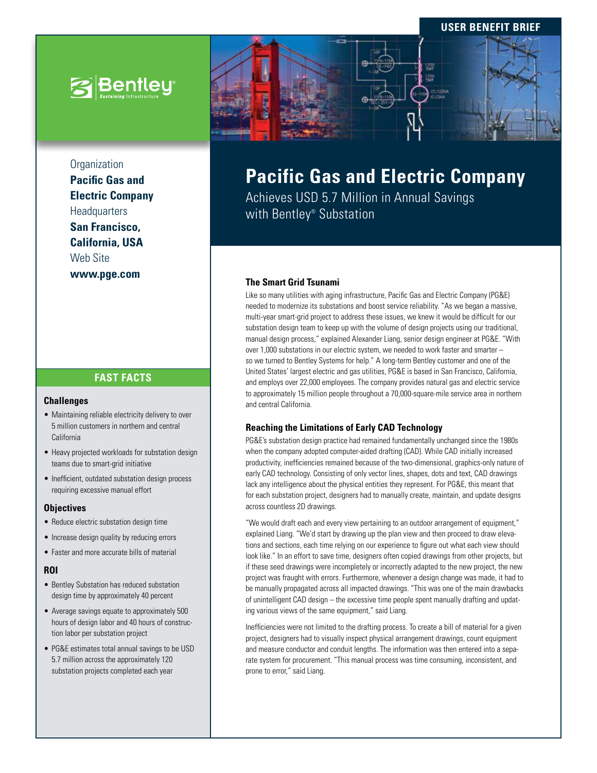# **USER BENEFIT BRIEF**



# **Organization**

**Pacific Gas and Electric Company Headquarters San Francisco, California, USA** Web Site **www.pge.com**

# **FAST FACTS**

### **Challenges**

- Maintaining reliable electricity delivery to over 5 million customers in northern and central California
- Heavy projected workloads for substation design teams due to smart-grid initiative
- Inefficient, outdated substation design process requiring excessive manual effort

### **Objectives**

- Reduce electric substation design time
- Increase design quality by reducing errors
- Faster and more accurate bills of material

## **ROI**

- Bentley Substation has reduced substation design time by approximately 40 percent
- Average savings equate to approximately 500 hours of design labor and 40 hours of construction labor per substation project
- PG&E estimates total annual savings to be USD 5.7 million across the approximately 120 substation projects completed each year



Achieves USD 5.7 Million in Annual Savings with Bentley® Substation

## **The Smart Grid Tsunami**

Like so many utilities with aging infrastructure, Pacific Gas and Electric Company (PG&E) needed to modernize its substations and boost service reliability. "As we began a massive, multi-year smart-grid project to address these issues, we knew it would be difficult for our substation design team to keep up with the volume of design projects using our traditional, manual design process," explained Alexander Liang, senior design engineer at PG&E. "With over 1,000 substations in our electric system, we needed to work faster and smarter – so we turned to Bentley Systems for help." A long-term Bentley customer and one of the United States' largest electric and gas utilities, PG&E is based in San Francisco, California, and employs over 22,000 employees. The company provides natural gas and electric service to approximately 15 million people throughout a 70,000-square-mile service area in northern and central California.

## **Reaching the Limitations of Early CAD Technology**

PG&E's substation design practice had remained fundamentally unchanged since the 1980s when the company adopted computer-aided drafting (CAD). While CAD initially increased productivity, inefficiencies remained because of the two-dimensional, graphics-only nature of early CAD technology. Consisting of only vector lines, shapes, dots and text, CAD drawings lack any intelligence about the physical entities they represent. For PG&E, this meant that for each substation project, designers had to manually create, maintain, and update designs across countless 2D drawings.

"We would draft each and every view pertaining to an outdoor arrangement of equipment," explained Liang. "We'd start by drawing up the plan view and then proceed to draw elevations and sections, each time relying on our experience to figure out what each view should look like." In an effort to save time, designers often copied drawings from other projects, but if these seed drawings were incompletely or incorrectly adapted to the new project, the new project was fraught with errors. Furthermore, whenever a design change was made, it had to be manually propagated across all impacted drawings. "This was one of the main drawbacks of unintelligent CAD design – the excessive time people spent manually drafting and updating various views of the same equipment," said Liang.

Inefficiencies were not limited to the drafting process. To create a bill of material for a given project, designers had to visually inspect physical arrangement drawings, count equipment and measure conductor and conduit lengths. The information was then entered into a separate system for procurement. "This manual process was time consuming, inconsistent, and prone to error," said Liang.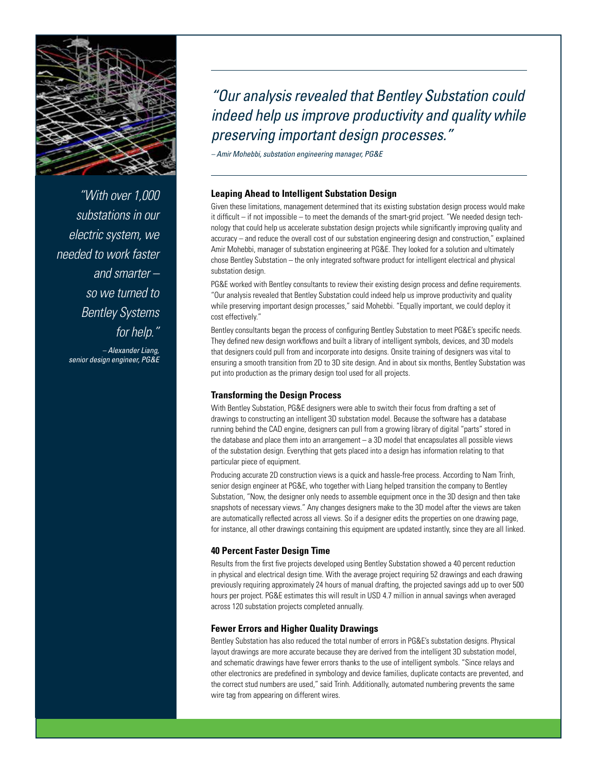

*"With over 1,000 substations in our electric system, we needed to work faster and smarter – so we turned to Bentley Systems for help." – Alexander Liang, senior design engineer, PG&E*

*"Our analysis revealed that Bentley Substation could indeed help us improve productivity and quality while preserving important design processes."*

*– Amir Mohebbi, substation engineering manager, PG&E*

### **Leaping Ahead to Intelligent Substation Design**

Given these limitations, management determined that its existing substation design process would make it difficult – if not impossible – to meet the demands of the smart-grid project. "We needed design technology that could help us accelerate substation design projects while significantly improving quality and accuracy – and reduce the overall cost of our substation engineering design and construction," explained Amir Mohebbi, manager of substation engineering at PG&E. They looked for a solution and ultimately chose Bentley Substation – the only integrated software product for intelligent electrical and physical substation design.

PG&E worked with Bentley consultants to review their existing design process and define requirements. "Our analysis revealed that Bentley Substation could indeed help us improve productivity and quality while preserving important design processes," said Mohebbi. "Equally important, we could deploy it cost effectively."

Bentley consultants began the process of configuring Bentley Substation to meet PG&E's specific needs. They defined new design workflows and built a library of intelligent symbols, devices, and 3D models that designers could pull from and incorporate into designs. Onsite training of designers was vital to ensuring a smooth transition from 2D to 3D site design. And in about six months, Bentley Substation was put into production as the primary design tool used for all projects.

#### **Transforming the Design Process**

With Bentley Substation, PG&E designers were able to switch their focus from drafting a set of drawings to constructing an intelligent 3D substation model. Because the software has a database running behind the CAD engine, designers can pull from a growing library of digital "parts" stored in the database and place them into an arrangement – a 3D model that encapsulates all possible views of the substation design. Everything that gets placed into a design has information relating to that particular piece of equipment.

Producing accurate 2D construction views is a quick and hassle-free process. According to Nam Trinh, senior design engineer at PG&E, who together with Liang helped transition the company to Bentley Substation, "Now, the designer only needs to assemble equipment once in the 3D design and then take snapshots of necessary views." Any changes designers make to the 3D model after the views are taken are automatically reflected across all views. So if a designer edits the properties on one drawing page, for instance, all other drawings containing this equipment are updated instantly, since they are all linked.

#### **40 Percent Faster Design Time**

Results from the first five projects developed using Bentley Substation showed a 40 percent reduction in physical and electrical design time. With the average project requiring 52 drawings and each drawing previously requiring approximately 24 hours of manual drafting, the projected savings add up to over 500 hours per project. PG&E estimates this will result in USD 4.7 million in annual savings when averaged across 120 substation projects completed annually.

### **Fewer Errors and Higher Quality Drawings**

Bentley Substation has also reduced the total number of errors in PG&E's substation designs. Physical layout drawings are more accurate because they are derived from the intelligent 3D substation model, and schematic drawings have fewer errors thanks to the use of intelligent symbols. "Since relays and other electronics are predefined in symbology and device families, duplicate contacts are prevented, and the correct stud numbers are used," said Trinh. Additionally, automated numbering prevents the same wire tag from appearing on different wires.